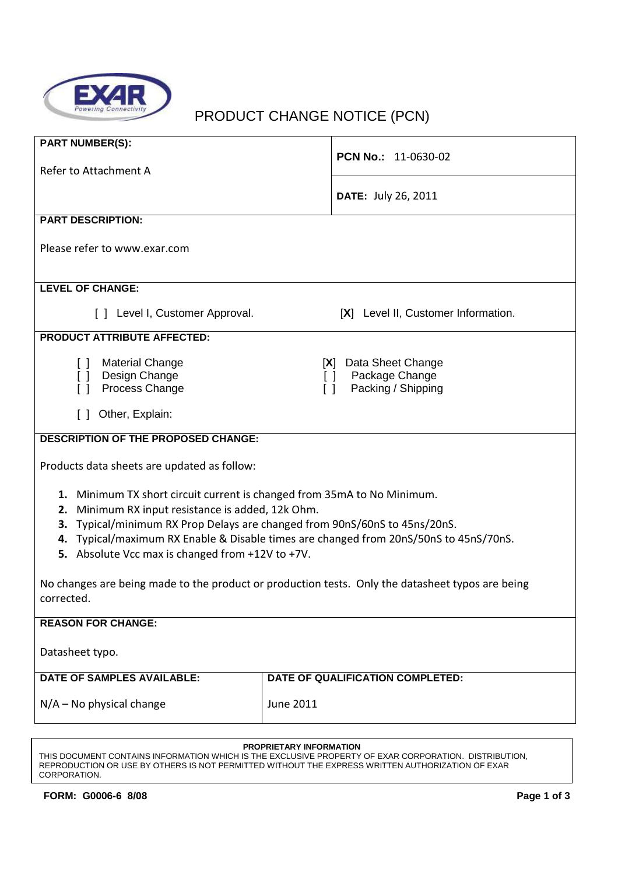

# PRODUCT CHANGE NOTICE (PCN)

| <b>PART NUMBER(S):</b>                                                                                                                    |                                                                 |  |
|-------------------------------------------------------------------------------------------------------------------------------------------|-----------------------------------------------------------------|--|
| Refer to Attachment A                                                                                                                     | <b>PCN No.: 11-0630-02</b>                                      |  |
|                                                                                                                                           | DATE: July 26, 2011                                             |  |
|                                                                                                                                           |                                                                 |  |
| <b>PART DESCRIPTION:</b>                                                                                                                  |                                                                 |  |
| Please refer to www.exar.com                                                                                                              |                                                                 |  |
|                                                                                                                                           |                                                                 |  |
| <b>LEVEL OF CHANGE:</b>                                                                                                                   |                                                                 |  |
| [ ] Level I, Customer Approval.                                                                                                           | [X] Level II, Customer Information.                             |  |
| <b>PRODUCT ATTRIBUTE AFFECTED:</b>                                                                                                        |                                                                 |  |
| <b>Material Change</b><br>$\Box$                                                                                                          | [X] Data Sheet Change                                           |  |
| Design Change<br>$\lceil$ $\rceil$<br>Process Change                                                                                      | Package Change<br>ΙI<br>Packing / Shipping<br>$\lceil$ $\rceil$ |  |
|                                                                                                                                           |                                                                 |  |
| Other, Explain:<br>$\Box$                                                                                                                 |                                                                 |  |
| <b>DESCRIPTION OF THE PROPOSED CHANGE:</b>                                                                                                |                                                                 |  |
| Products data sheets are updated as follow:                                                                                               |                                                                 |  |
| 1. Minimum TX short circuit current is changed from 35mA to No Minimum.                                                                   |                                                                 |  |
| Minimum RX input resistance is added, 12k Ohm.<br>2.                                                                                      |                                                                 |  |
| Typical/minimum RX Prop Delays are changed from 90nS/60nS to 45ns/20nS.<br>3.                                                             |                                                                 |  |
| 4. Typical/maximum RX Enable & Disable times are changed from 20nS/50nS to 45nS/70nS.<br>5. Absolute Vcc max is changed from +12V to +7V. |                                                                 |  |
|                                                                                                                                           |                                                                 |  |
| No changes are being made to the product or production tests. Only the datasheet typos are being                                          |                                                                 |  |
| corrected.                                                                                                                                |                                                                 |  |
| <b>REASON FOR CHANGE:</b>                                                                                                                 |                                                                 |  |
| Datasheet typo.                                                                                                                           |                                                                 |  |
| <b>DATE OF SAMPLES AVAILABLE:</b>                                                                                                         | DATE OF QUALIFICATION COMPLETED:                                |  |
|                                                                                                                                           |                                                                 |  |
| $N/A$ – No physical change                                                                                                                | <b>June 2011</b>                                                |  |
|                                                                                                                                           |                                                                 |  |

### **PROPRIETARY INFORMATION**

THIS DOCUMENT CONTAINS INFORMATION WHICH IS THE EXCLUSIVE PROPERTY OF EXAR CORPORATION. DISTRIBUTION, REPRODUCTION OR USE BY OTHERS IS NOT PERMITTED WITHOUT THE EXPRESS WRITTEN AUTHORIZATION OF EXAR CORPORATION.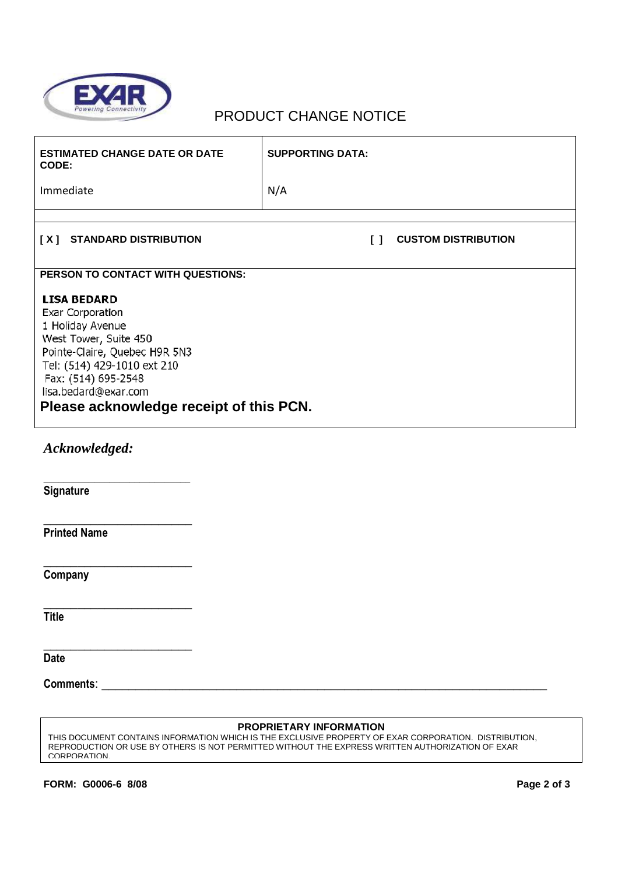

## PRODUCT CHANGE NOTICE

| <b>ESTIMATED CHANGE DATE OR DATE</b><br>CODE:                                                                                                                                                                                                 | <b>SUPPORTING DATA:</b>              |
|-----------------------------------------------------------------------------------------------------------------------------------------------------------------------------------------------------------------------------------------------|--------------------------------------|
| Immediate                                                                                                                                                                                                                                     | N/A                                  |
|                                                                                                                                                                                                                                               |                                      |
| [X] STANDARD DISTRIBUTION                                                                                                                                                                                                                     | <b>CUSTOM DISTRIBUTION</b><br>$\Box$ |
| PERSON TO CONTACT WITH QUESTIONS:                                                                                                                                                                                                             |                                      |
| <b>LISA BEDARD</b><br>Exar Corporation<br>1 Holiday Avenue<br>West Tower, Suite 450<br>Pointe-Claire, Quebec H9R 5N3<br>Tel: (514) 429-1010 ext 210<br>Fax: (514) 695-2548<br>lisa.bedard@exar.com<br>Please acknowledge receipt of this PCN. |                                      |
| Acknowledged:                                                                                                                                                                                                                                 |                                      |
| Signature                                                                                                                                                                                                                                     |                                      |
| <b>Printed Name</b>                                                                                                                                                                                                                           |                                      |
| Company                                                                                                                                                                                                                                       |                                      |
| <b>Title</b>                                                                                                                                                                                                                                  |                                      |
| <b>Date</b>                                                                                                                                                                                                                                   |                                      |

**PROPRIETARY INFORMATION** THIS DOCUMENT CONTAINS INFORMATION WHICH IS THE EXCLUSIVE PROPERTY OF EXAR CORPORATION. DISTRIBUTION, REPRODUCTION OR USE BY OTHERS IS NOT PERMITTED WITHOUT THE EXPRESS WRITTEN AUTHORIZATION OF EXAR CORPORATION.

**Comments**: \_\_\_\_\_\_\_\_\_\_\_\_\_\_\_\_\_\_\_\_\_\_\_\_\_\_\_\_\_\_\_\_\_\_\_\_\_\_\_\_\_\_\_\_\_\_\_\_\_\_\_\_\_\_\_\_\_\_\_\_\_\_\_\_\_\_